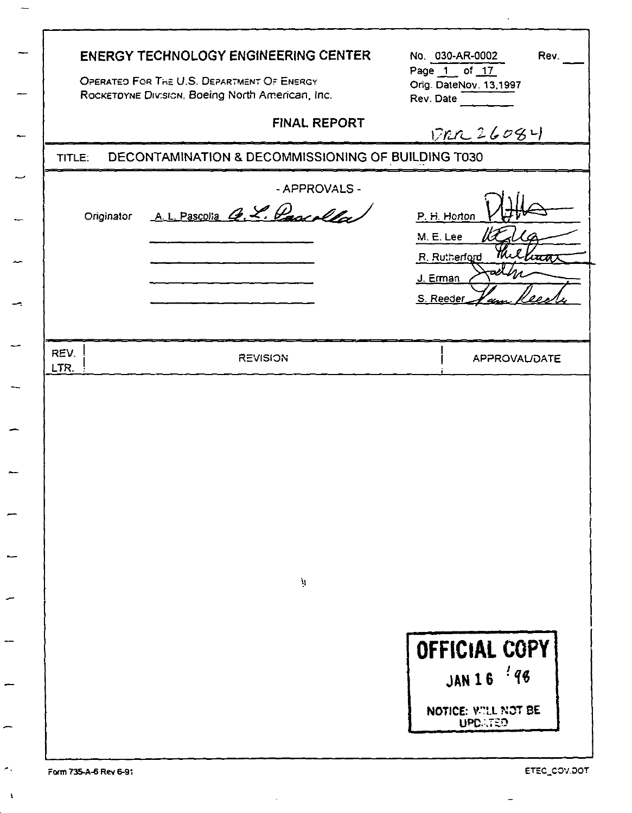| TITLE:       | <b>ENERGY TECHNOLOGY ENGINEERING CENTER</b><br>OPERATED FOR THE U.S. DEPARTMENT OF ENERGY<br>ROCKETOYNE Division, Boeing North American, Inc.<br><b>FINAL REPORT</b><br>DECONTAMINATION & DECOMMISSIONING OF BUILDING T030 | No. 030-AR-0002<br>Rev.<br>Page 1 of 17<br>Orig. DateNov. 13,1997<br>Rev. Date<br>17n226084 |
|--------------|----------------------------------------------------------------------------------------------------------------------------------------------------------------------------------------------------------------------------|---------------------------------------------------------------------------------------------|
| Originator   | - APPROVALS -<br>AL Pascolia G. L. Page allas                                                                                                                                                                              | P. H. Horton<br>M. E. Lee<br>R. Rutherford<br>lu <del>ur</del><br>J. Erman<br>S. Reeder     |
| REV.<br>LTR. | <b>REVISION</b><br>$\mathbf{q}$                                                                                                                                                                                            | APPROVAL/DATE                                                                               |
|              |                                                                                                                                                                                                                            | OFFICIAL COPY<br>JAN 16 '98<br>NOTICE: VILL NOT BE<br><b>UPDATED</b>                        |

÷

سب

÷

÷

 $\sigma$  .

 $\bar{\chi}$ 

l.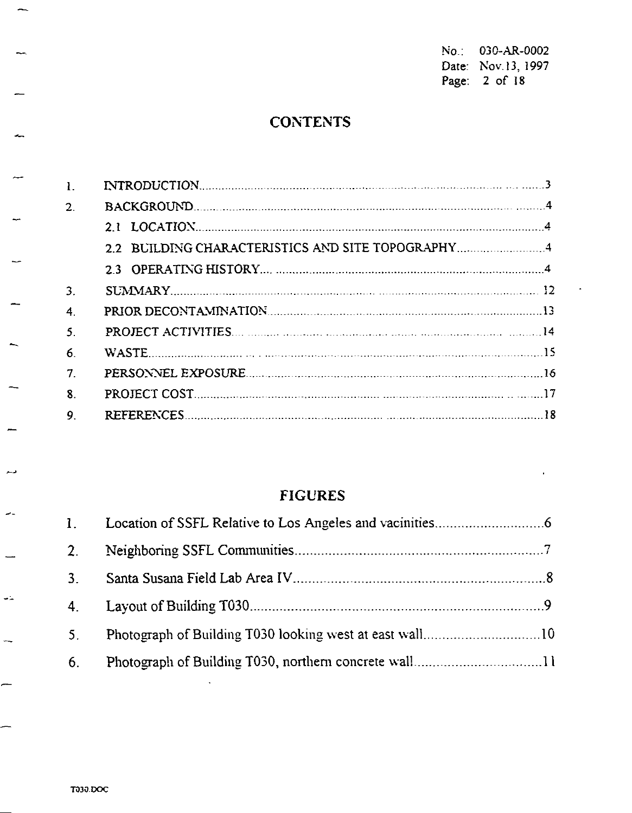No.: 030-AR-0002 Date: Nov.13, 1997<br>Page: 2 of 18

# **CONTENTS**

| $\overline{2}$ |                                                   |  |
|----------------|---------------------------------------------------|--|
|                |                                                   |  |
|                | 2.2 BUILDING CHARACTERISTICS AND SITE TOPOGRAPHY4 |  |
|                |                                                   |  |
| 3.             |                                                   |  |
| 4.             |                                                   |  |
| 5.             |                                                   |  |
| 6.             | WASTE                                             |  |
| 7              |                                                   |  |
| 8.             |                                                   |  |
| 9.             |                                                   |  |
|                |                                                   |  |

# **FIGURES**

| $3_{-}$ |  |
|---------|--|
| $4_{-}$ |  |
| 5.      |  |
| 6.      |  |

 $\mathcal{A}^{\pm}$ 

 $\sim$ 

فبسع

 $\overline{\phantom{a}}$ 

 $\frac{1}{2}$ 

 $\overline{\phantom{0}}$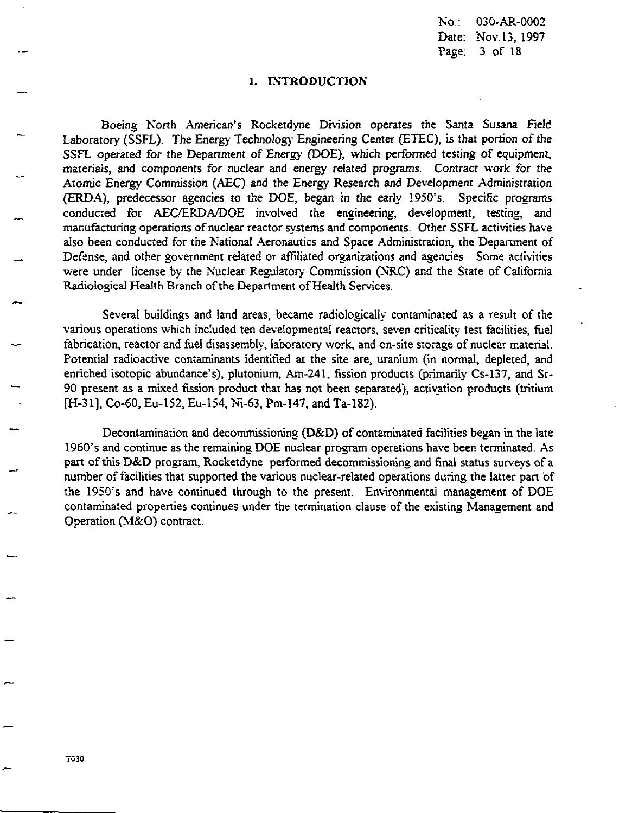$No.$ 030-AR-0002 Date: Nov.13, 1997 Page. 3 of 18

### 1. INTRODUCTION

Boeing North American's Rocketdyne Division operates the Santa Susana Field Laboratory (SSFL). The Energy Technology Engineering Center (ETEC), is that portion of the SSFL operated for the Department of Energy (DOE), which performed testing of equipment, materials, and components for nuclear and energy related programs. Contract work for the Atomic Energy Commission (AEC) and the Energy Research and Development Administration (ERDA), predecessor agencies to the DOE, began in the early 1950's. Specific programs conducted for AEC/ERDA/DOE involved the engineering, development, testing, and manufacturing operations of nuclear reactor systems and components. Other SSFL activities have also been conducted for the National Aeronautics and Space Administration, the Department of Defense, and other government related or affiliated organizations and agencies. Some activities were under license by the Nuclear Regulatory Commission (NRC) and the State of California Radiological Health Branch of the Department of Health Services.

Several buildings and land areas, became radiologically contaminated as a result of the various operations which included ten developmental reactors, seven criticality test facilities, fuel fabrication, reactor and fuel disassembly, laboratory work, and on-site storage of nuclear material. Potential radioactive contaminants identified at the site are, uranium (in normal, depleted, and enriched isotopic abundance's), plutonium, Am-241, fission products (primarily Cs-137, and Sr-90 present as a mixed fission product that has not been separated), activation products (tritium [H-31], Co-60, Eu-152, Eu-154, Ni-63, Pm-147, and Ta-182).

Decontamination and decommissioning (D&D) of contaminated facilities began in the late 1960's and continue as the remaining DOE nuclear program operations have been terminated. As part of this D&D program, Rocketdyne performed decommissioning and final status surveys of a number of facilities that supported the various nuclear-related operations during the latter part of the 1950's and have continued through to the present. Environmental management of DOE contaminated properties continues under the termination clause of the existing Management and Operation (M&O) contract.

**T030**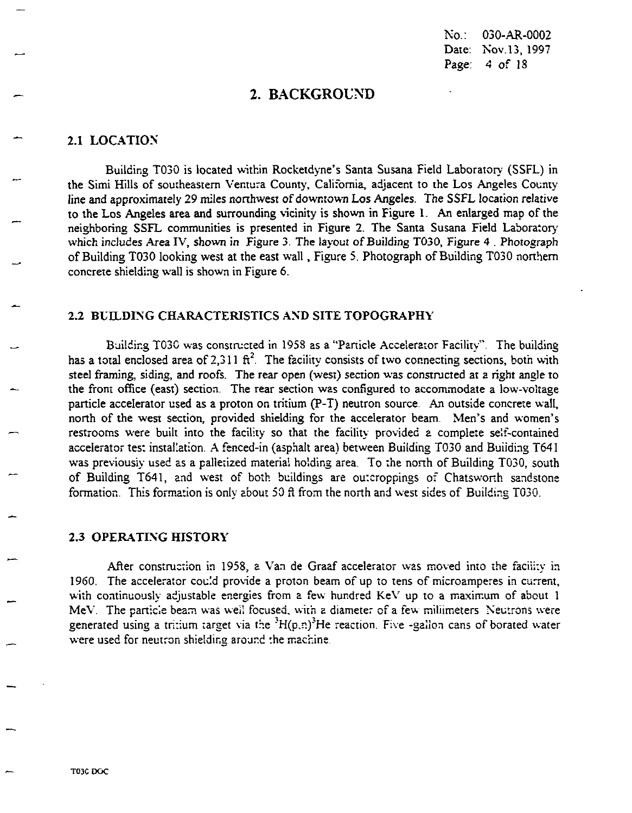$No.$ 030-AR-0002 Date: Nov.13, 1997 Page: 4 of 18

## 2. BACKGROUND

### 2.1 LOCATION

Building T030 is located within Rocketdyne's Santa Susana Field Laboratory (SSFL) in the Simi Hills of southeastern Ventura County, California, adjacent to the Los Angeles County line and approximately 29 miles northwest of downtown Los Angeles. The SSFL location relative to the Los Angeles area and surrounding vicinity is shown in Figure 1. An enlarged map of the neighboring SSFL communities is presented in Figure 2. The Santa Susana Field Laboratory which includes Area IV, shown in Figure 3. The layout of Building T030, Figure 4. Photograph of Building T030 looking west at the east wall, Figure 5. Photograph of Building T030 northern concrete shielding wall is shown in Figure 6.

### 2.2 BUILDING CHARACTERISTICS AND SITE TOPOGRAPHY

Building T030 was constructed in 1958 as a "Particle Accelerator Facility". The building has a total enclosed area of 2.311  $\pi^2$ . The facility consists of two connecting sections, both with steel framing, siding, and roofs. The rear open (west) section was constructed at a right angle to the front office (east) section. The rear section was configured to accommodate a low-voltage particle accelerator used as a proton on tritium (P-T) neutron source. An outside concrete wall, north of the west section, provided shielding for the accelerator beam. Men's and women's restrooms were built into the facility so that the facility provided a complete self-contained accelerator test installation. A fenced-in (asphalt area) between Building T030 and Building T641 was previously used as a palletized material holding area. To the north of Building T030, south of Building T641, and west of both buildings are outeroppings of Chatsworth sandstone formation. This formation is only about 50 ft from the north and west sides of Building T030.

### **2.3 OPERATING HISTORY**

After construction in 1958, a Van de Graaf accelerator was moved into the facility in 1960. The accelerator could provide a proton beam of up to tens of microamperes in current, with continuously adjustable energies from a few hundred KeV up to a maximum of about 1 MeV. The particle beam was well focused, with a diameter of a few millimeters. Neutrons were generated using a tritium target via the  $H(p,n)^3$ He reaction. Five -gallon cans of borated water were used for neutron shielding around the machine.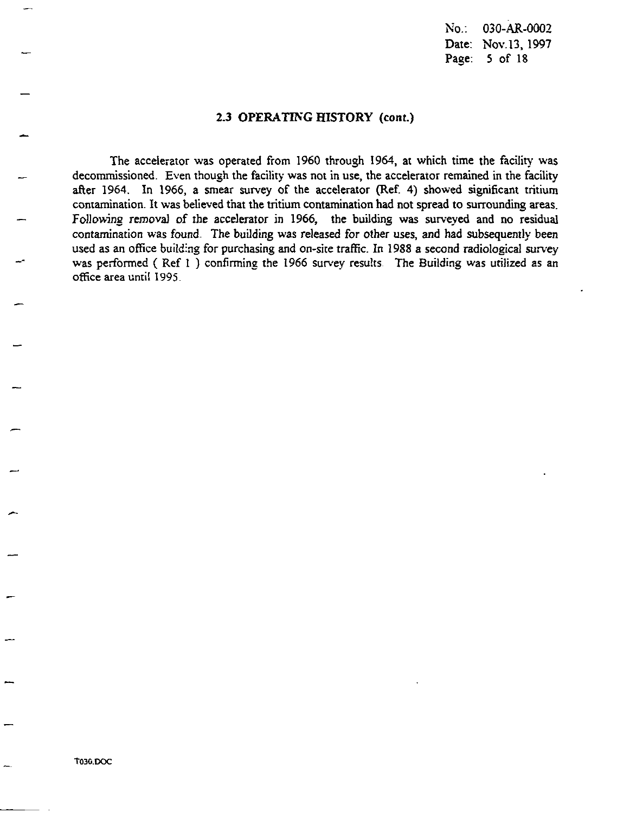No.: 030-AR-0002 Date: Nov.13, 1997 Page: 5 of 18

### **2.3 OPERATIKG HISTORY (cont.)**

The accelerator was operated from 1960 through 1964, at which time the facility was decommissioned. Even though the facility was not in use, the accelerator remained in the facility after 1964. In 1966, a smear survey of the accelerator (Ref. 4) showed significant tritium contamination. It was believed that the tritium contamination had not spread to surrounding areas. Following removal of the accelerator in 1966, the building was surveyed and no residual contamination was found. The building was released for other uses, and had subsequently been used as an office building for purchasing and on-site traffic. In 1988 a second radiological survey was performed (Ref 1) confirming the 1966 survey results. The Building was utilized as an office area unti! 1995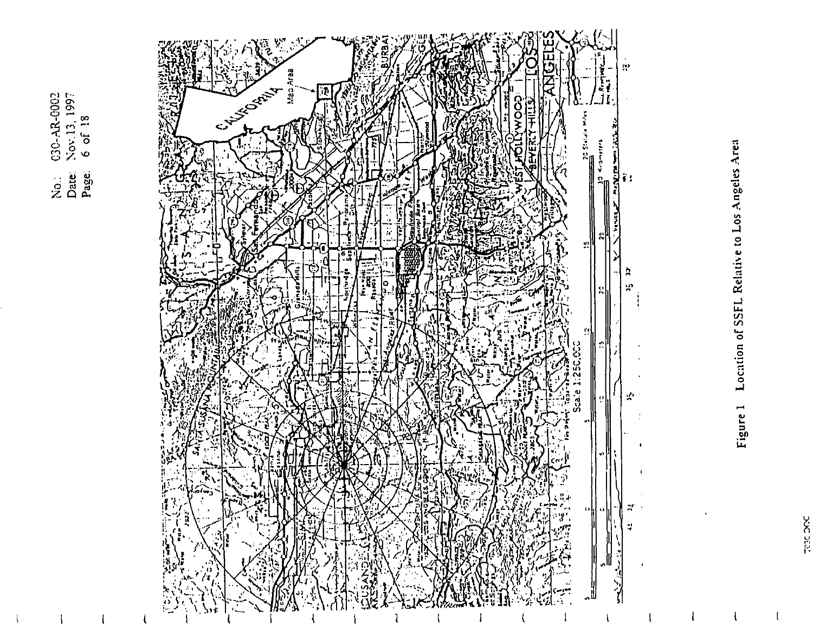$C30-AR-0002$ <br>Nov.13, 1997<br>6 of 18 No.<br>Date<br>Page.



# Location of SSFL Relative to Los Angeles Area Figure 1

 $\mathbf{I}$ 

 $\mathfrak{g}$ 

**DOG DOC**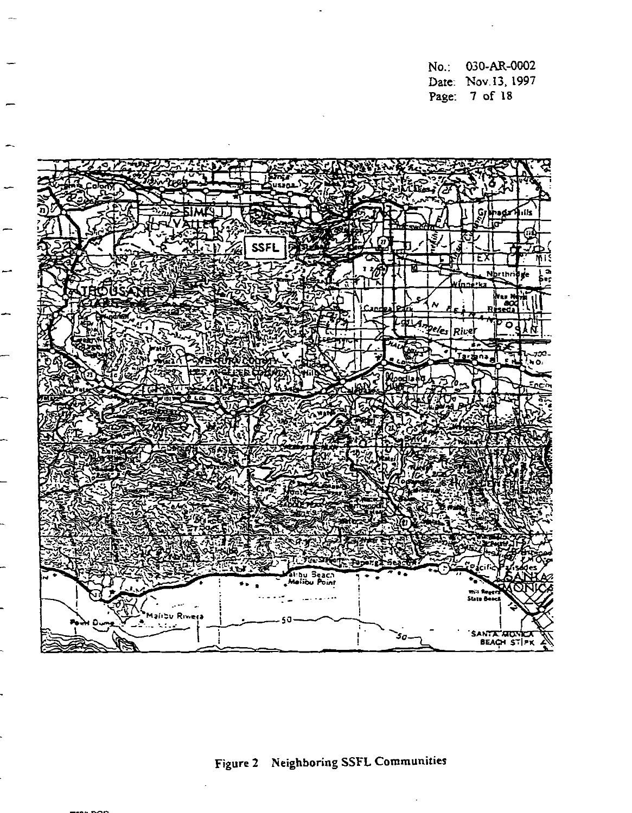**No.: 030-AR-0002 Dzte: Xov.13. 1997 Page: 7** of **18** 



**Figure 2 Neighboring SSFL Communities**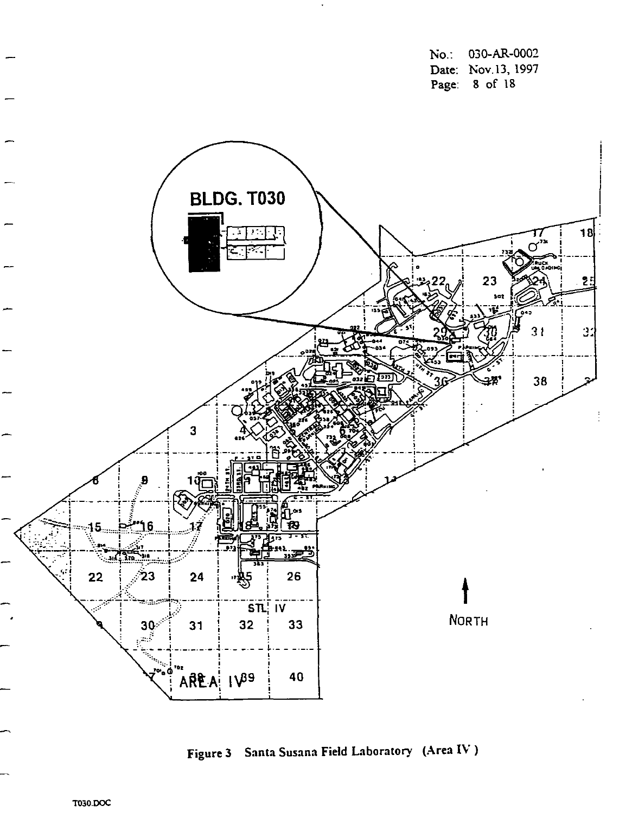$No.$ : 030-AR-0002 Date: Nov.13, 1997 Page: 8 of 18



Figure 3 Santa Susana Field Laboratory (Area IV)

T030.DOC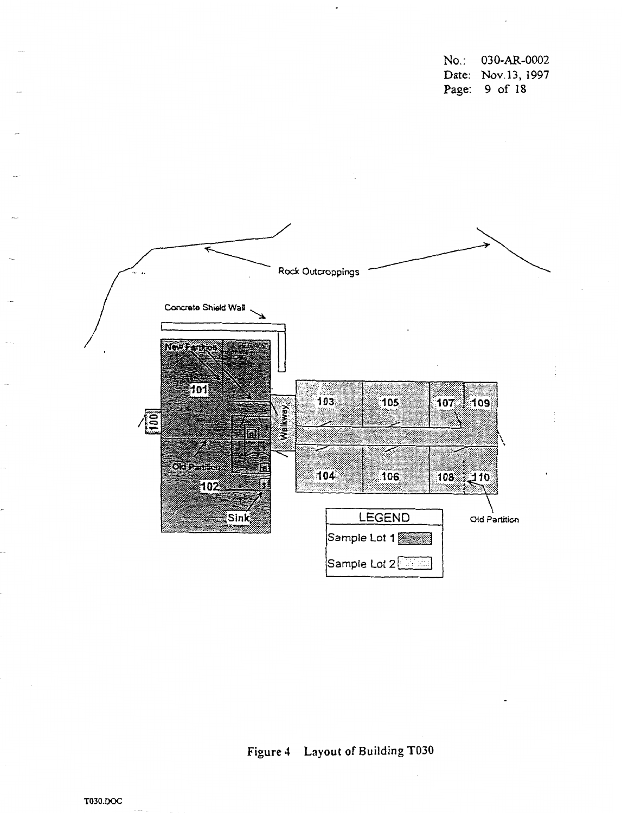**NO.** : **03 0-AR-0002 Date: Nov.13, 1997 Page: 9** of **18** 



# **Figure 4 Layout of Building TO30**